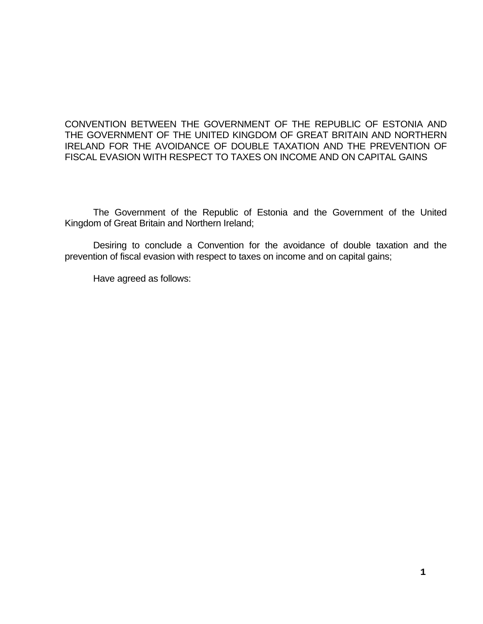# CONVENTION BETWEEN THE GOVERNMENT OF THE REPUBLIC OF ESTONIA AND THE GOVERNMENT OF THE UNITED KINGDOM OF GREAT BRITAIN AND NORTHERN IRELAND FOR THE AVOIDANCE OF DOUBLE TAXATION AND THE PREVENTION OF FISCAL EVASION WITH RESPECT TO TAXES ON INCOME AND ON CAPITAL GAINS

 The Government of the Republic of Estonia and the Government of the United Kingdom of Great Britain and Northern Ireland;

 Desiring to conclude a Convention for the avoidance of double taxation and the prevention of fiscal evasion with respect to taxes on income and on capital gains;

Have agreed as follows: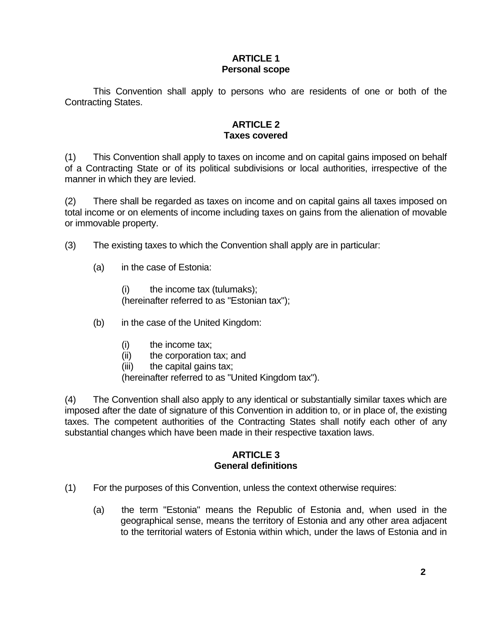# **ARTICLE 1 Personal scope**

 This Convention shall apply to persons who are residents of one or both of the Contracting States.

# **ARTICLE 2 Taxes covered**

(1) This Convention shall apply to taxes on income and on capital gains imposed on behalf of a Contracting State or of its political subdivisions or local authorities, irrespective of the manner in which they are levied.

(2) There shall be regarded as taxes on income and on capital gains all taxes imposed on total income or on elements of income including taxes on gains from the alienation of movable or immovable property.

(3) The existing taxes to which the Convention shall apply are in particular:

(a) in the case of Estonia:

 $(i)$  the income tax (tulumaks); (hereinafter referred to as "Estonian tax");

- (b) in the case of the United Kingdom:
	- (i) the income tax;
	- (ii) the corporation tax; and
	- (iii) the capital gains tax;

(hereinafter referred to as "United Kingdom tax").

(4) The Convention shall also apply to any identical or substantially similar taxes which are imposed after the date of signature of this Convention in addition to, or in place of, the existing taxes. The competent authorities of the Contracting States shall notify each other of any substantial changes which have been made in their respective taxation laws.

### **ARTICLE 3 General definitions**

- (1) For the purposes of this Convention, unless the context otherwise requires:
	- (a) the term "Estonia" means the Republic of Estonia and, when used in the geographical sense, means the territory of Estonia and any other area adjacent to the territorial waters of Estonia within which, under the laws of Estonia and in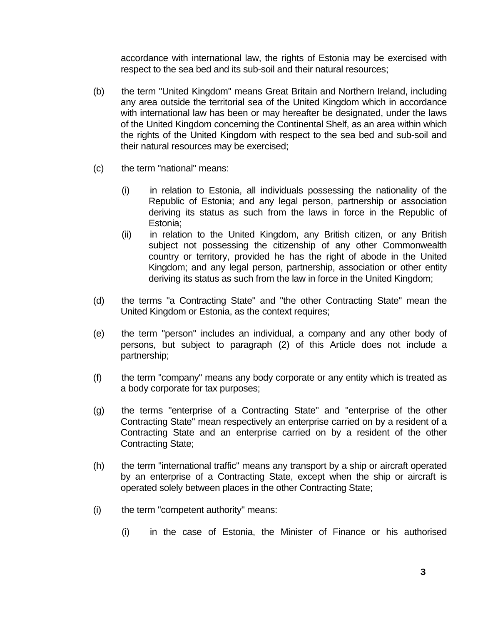accordance with international law, the rights of Estonia may be exercised with respect to the sea bed and its sub-soil and their natural resources;

- (b) the term "United Kingdom" means Great Britain and Northern Ireland, including any area outside the territorial sea of the United Kingdom which in accordance with international law has been or may hereafter be designated, under the laws of the United Kingdom concerning the Continental Shelf, as an area within which the rights of the United Kingdom with respect to the sea bed and sub-soil and their natural resources may be exercised;
- (c) the term "national" means:
	- (i) in relation to Estonia, all individuals possessing the nationality of the Republic of Estonia; and any legal person, partnership or association deriving its status as such from the laws in force in the Republic of Estonia;
	- (ii) in relation to the United Kingdom, any British citizen, or any British subject not possessing the citizenship of any other Commonwealth country or territory, provided he has the right of abode in the United Kingdom; and any legal person, partnership, association or other entity deriving its status as such from the law in force in the United Kingdom;
- (d) the terms "a Contracting State" and "the other Contracting State" mean the United Kingdom or Estonia, as the context requires;
- (e) the term "person" includes an individual, a company and any other body of persons, but subject to paragraph (2) of this Article does not include a partnership;
- (f) the term "company" means any body corporate or any entity which is treated as a body corporate for tax purposes;
- (g) the terms "enterprise of a Contracting State" and "enterprise of the other Contracting State" mean respectively an enterprise carried on by a resident of a Contracting State and an enterprise carried on by a resident of the other Contracting State;
- (h) the term "international traffic" means any transport by a ship or aircraft operated by an enterprise of a Contracting State, except when the ship or aircraft is operated solely between places in the other Contracting State;
- (i) the term "competent authority" means:
	- (i) in the case of Estonia, the Minister of Finance or his authorised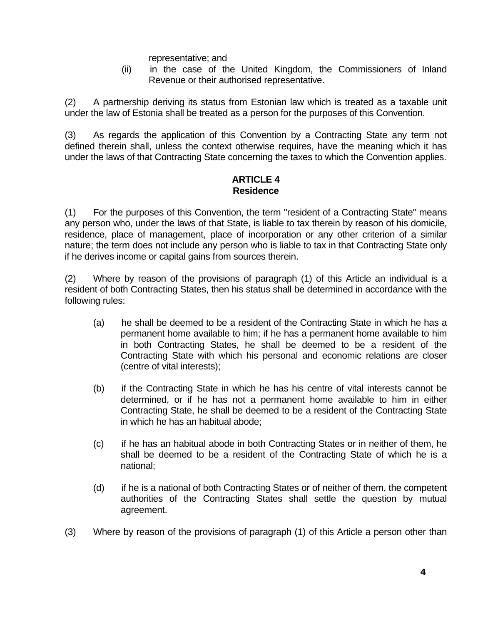representative; and

 (ii) in the case of the United Kingdom, the Commissioners of Inland Revenue or their authorised representative.

(2) A partnership deriving its status from Estonian law which is treated as a taxable unit under the law of Estonia shall be treated as a person for the purposes of this Convention.

(3) As regards the application of this Convention by a Contracting State any term not defined therein shall, unless the context otherwise requires, have the meaning which it has under the laws of that Contracting State concerning the taxes to which the Convention applies.

### **ARTICLE 4 Residence**

(1) For the purposes of this Convention, the term "resident of a Contracting State" means any person who, under the laws of that State, is liable to tax therein by reason of his domicile, residence, place of management, place of incorporation or any other criterion of a similar nature; the term does not include any person who is liable to tax in that Contracting State only if he derives income or capital gains from sources therein.

(2) Where by reason of the provisions of paragraph (1) of this Article an individual is a resident of both Contracting States, then his status shall be determined in accordance with the following rules:

- (a) he shall be deemed to be a resident of the Contracting State in which he has a permanent home available to him; if he has a permanent home available to him in both Contracting States, he shall be deemed to be a resident of the Contracting State with which his personal and economic relations are closer (centre of vital interests);
- (b) if the Contracting State in which he has his centre of vital interests cannot be determined, or if he has not a permanent home available to him in either Contracting State, he shall be deemed to be a resident of the Contracting State in which he has an habitual abode;
- (c) if he has an habitual abode in both Contracting States or in neither of them, he shall be deemed to be a resident of the Contracting State of which he is a national;
- (d) if he is a national of both Contracting States or of neither of them, the competent authorities of the Contracting States shall settle the question by mutual agreement.
- (3) Where by reason of the provisions of paragraph (1) of this Article a person other than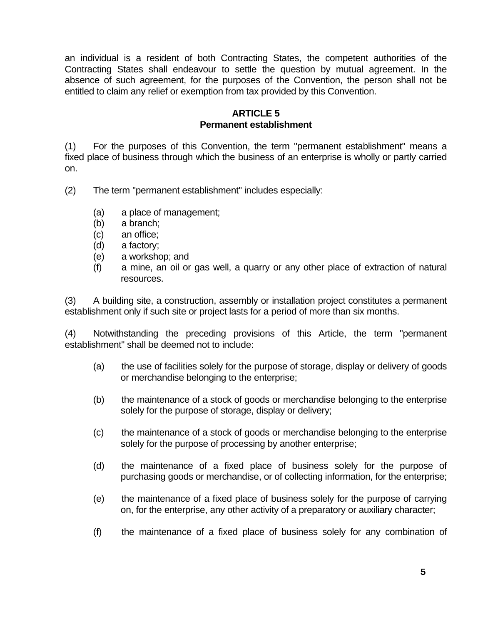an individual is a resident of both Contracting States, the competent authorities of the Contracting States shall endeavour to settle the question by mutual agreement. In the absence of such agreement, for the purposes of the Convention, the person shall not be entitled to claim any relief or exemption from tax provided by this Convention.

#### **ARTICLE 5 Permanent establishment**

(1) For the purposes of this Convention, the term "permanent establishment" means a fixed place of business through which the business of an enterprise is wholly or partly carried on.

- (2) The term "permanent establishment" includes especially:
	- (a) a place of management;
	- (b) a branch;
	- (c) an office;
	- (d) a factory;
	- (e) a workshop; and
	- (f) a mine, an oil or gas well, a quarry or any other place of extraction of natural resources.

(3) A building site, a construction, assembly or installation project constitutes a permanent establishment only if such site or project lasts for a period of more than six months.

(4) Notwithstanding the preceding provisions of this Article, the term "permanent establishment" shall be deemed not to include:

- (a) the use of facilities solely for the purpose of storage, display or delivery of goods or merchandise belonging to the enterprise;
- (b) the maintenance of a stock of goods or merchandise belonging to the enterprise solely for the purpose of storage, display or delivery;
- (c) the maintenance of a stock of goods or merchandise belonging to the enterprise solely for the purpose of processing by another enterprise;
- (d) the maintenance of a fixed place of business solely for the purpose of purchasing goods or merchandise, or of collecting information, for the enterprise;
- (e) the maintenance of a fixed place of business solely for the purpose of carrying on, for the enterprise, any other activity of a preparatory or auxiliary character;
- (f) the maintenance of a fixed place of business solely for any combination of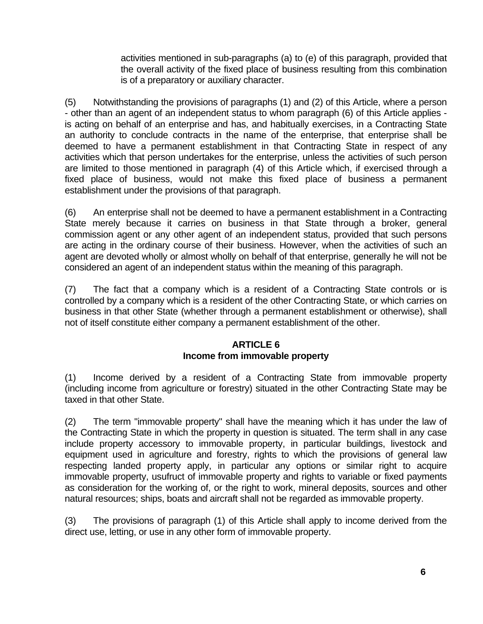activities mentioned in sub-paragraphs (a) to (e) of this paragraph, provided that the overall activity of the fixed place of business resulting from this combination is of a preparatory or auxiliary character.

(5) Notwithstanding the provisions of paragraphs (1) and (2) of this Article, where a person - other than an agent of an independent status to whom paragraph (6) of this Article applies is acting on behalf of an enterprise and has, and habitually exercises, in a Contracting State an authority to conclude contracts in the name of the enterprise, that enterprise shall be deemed to have a permanent establishment in that Contracting State in respect of any activities which that person undertakes for the enterprise, unless the activities of such person are limited to those mentioned in paragraph (4) of this Article which, if exercised through a fixed place of business, would not make this fixed place of business a permanent establishment under the provisions of that paragraph.

(6) An enterprise shall not be deemed to have a permanent establishment in a Contracting State merely because it carries on business in that State through a broker, general commission agent or any other agent of an independent status, provided that such persons are acting in the ordinary course of their business. However, when the activities of such an agent are devoted wholly or almost wholly on behalf of that enterprise, generally he will not be considered an agent of an independent status within the meaning of this paragraph.

(7) The fact that a company which is a resident of a Contracting State controls or is controlled by a company which is a resident of the other Contracting State, or which carries on business in that other State (whether through a permanent establishment or otherwise), shall not of itself constitute either company a permanent establishment of the other.

# **ARTICLE 6 Income from immovable property**

(1) Income derived by a resident of a Contracting State from immovable property (including income from agriculture or forestry) situated in the other Contracting State may be taxed in that other State.

(2) The term "immovable property" shall have the meaning which it has under the law of the Contracting State in which the property in question is situated. The term shall in any case include property accessory to immovable property, in particular buildings, livestock and equipment used in agriculture and forestry, rights to which the provisions of general law respecting landed property apply, in particular any options or similar right to acquire immovable property, usufruct of immovable property and rights to variable or fixed payments as consideration for the working of, or the right to work, mineral deposits, sources and other natural resources; ships, boats and aircraft shall not be regarded as immovable property.

(3) The provisions of paragraph (1) of this Article shall apply to income derived from the direct use, letting, or use in any other form of immovable property.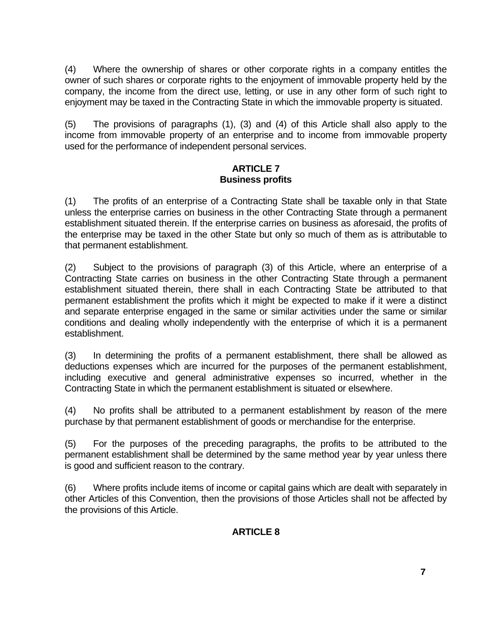(4) Where the ownership of shares or other corporate rights in a company entitles the owner of such shares or corporate rights to the enjoyment of immovable property held by the company, the income from the direct use, letting, or use in any other form of such right to enjoyment may be taxed in the Contracting State in which the immovable property is situated.

(5) The provisions of paragraphs (1), (3) and (4) of this Article shall also apply to the income from immovable property of an enterprise and to income from immovable property used for the performance of independent personal services.

### **ARTICLE 7 Business profits**

(1) The profits of an enterprise of a Contracting State shall be taxable only in that State unless the enterprise carries on business in the other Contracting State through a permanent establishment situated therein. If the enterprise carries on business as aforesaid, the profits of the enterprise may be taxed in the other State but only so much of them as is attributable to that permanent establishment.

(2) Subject to the provisions of paragraph (3) of this Article, where an enterprise of a Contracting State carries on business in the other Contracting State through a permanent establishment situated therein, there shall in each Contracting State be attributed to that permanent establishment the profits which it might be expected to make if it were a distinct and separate enterprise engaged in the same or similar activities under the same or similar conditions and dealing wholly independently with the enterprise of which it is a permanent establishment.

(3) In determining the profits of a permanent establishment, there shall be allowed as deductions expenses which are incurred for the purposes of the permanent establishment, including executive and general administrative expenses so incurred, whether in the Contracting State in which the permanent establishment is situated or elsewhere.

(4) No profits shall be attributed to a permanent establishment by reason of the mere purchase by that permanent establishment of goods or merchandise for the enterprise.

(5) For the purposes of the preceding paragraphs, the profits to be attributed to the permanent establishment shall be determined by the same method year by year unless there is good and sufficient reason to the contrary.

(6) Where profits include items of income or capital gains which are dealt with separately in other Articles of this Convention, then the provisions of those Articles shall not be affected by the provisions of this Article.

# **ARTICLE 8**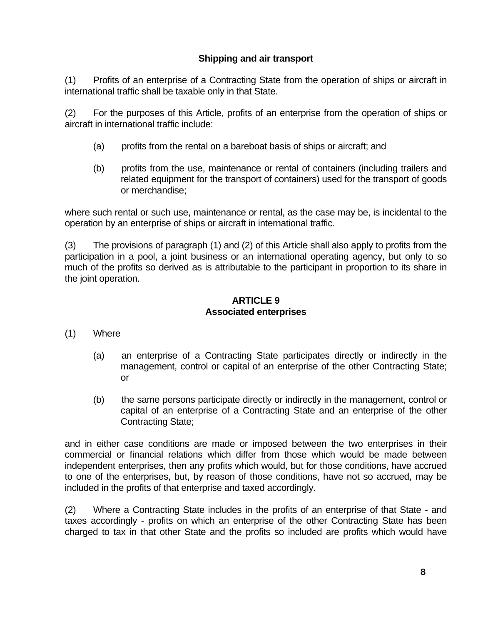# **Shipping and air transport**

(1) Profits of an enterprise of a Contracting State from the operation of ships or aircraft in international traffic shall be taxable only in that State.

(2) For the purposes of this Article, profits of an enterprise from the operation of ships or aircraft in international traffic include:

- (a) profits from the rental on a bareboat basis of ships or aircraft; and
- (b) profits from the use, maintenance or rental of containers (including trailers and related equipment for the transport of containers) used for the transport of goods or merchandise;

where such rental or such use, maintenance or rental, as the case may be, is incidental to the operation by an enterprise of ships or aircraft in international traffic.

(3) The provisions of paragraph (1) and (2) of this Article shall also apply to profits from the participation in a pool, a joint business or an international operating agency, but only to so much of the profits so derived as is attributable to the participant in proportion to its share in the joint operation.

# **ARTICLE 9 Associated enterprises**

- (1) Where
	- (a) an enterprise of a Contracting State participates directly or indirectly in the management, control or capital of an enterprise of the other Contracting State; or
	- (b) the same persons participate directly or indirectly in the management, control or capital of an enterprise of a Contracting State and an enterprise of the other Contracting State;

and in either case conditions are made or imposed between the two enterprises in their commercial or financial relations which differ from those which would be made between independent enterprises, then any profits which would, but for those conditions, have accrued to one of the enterprises, but, by reason of those conditions, have not so accrued, may be included in the profits of that enterprise and taxed accordingly.

(2) Where a Contracting State includes in the profits of an enterprise of that State - and taxes accordingly - profits on which an enterprise of the other Contracting State has been charged to tax in that other State and the profits so included are profits which would have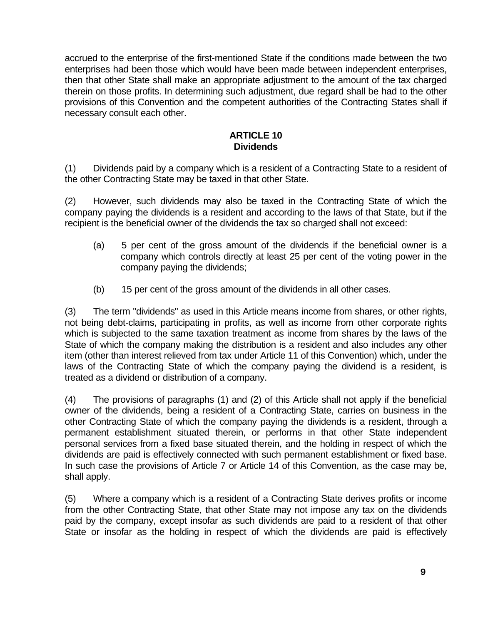accrued to the enterprise of the first-mentioned State if the conditions made between the two enterprises had been those which would have been made between independent enterprises, then that other State shall make an appropriate adjustment to the amount of the tax charged therein on those profits. In determining such adjustment, due regard shall be had to the other provisions of this Convention and the competent authorities of the Contracting States shall if necessary consult each other.

# **ARTICLE 10 Dividends**

(1) Dividends paid by a company which is a resident of a Contracting State to a resident of the other Contracting State may be taxed in that other State.

(2) However, such dividends may also be taxed in the Contracting State of which the company paying the dividends is a resident and according to the laws of that State, but if the recipient is the beneficial owner of the dividends the tax so charged shall not exceed:

- (a) 5 per cent of the gross amount of the dividends if the beneficial owner is a company which controls directly at least 25 per cent of the voting power in the company paying the dividends;
- (b) 15 per cent of the gross amount of the dividends in all other cases.

(3) The term "dividends" as used in this Article means income from shares, or other rights, not being debt-claims, participating in profits, as well as income from other corporate rights which is subjected to the same taxation treatment as income from shares by the laws of the State of which the company making the distribution is a resident and also includes any other item (other than interest relieved from tax under Article 11 of this Convention) which, under the laws of the Contracting State of which the company paying the dividend is a resident, is treated as a dividend or distribution of a company.

(4) The provisions of paragraphs (1) and (2) of this Article shall not apply if the beneficial owner of the dividends, being a resident of a Contracting State, carries on business in the other Contracting State of which the company paying the dividends is a resident, through a permanent establishment situated therein, or performs in that other State independent personal services from a fixed base situated therein, and the holding in respect of which the dividends are paid is effectively connected with such permanent establishment or fixed base. In such case the provisions of Article 7 or Article 14 of this Convention, as the case may be, shall apply.

(5) Where a company which is a resident of a Contracting State derives profits or income from the other Contracting State, that other State may not impose any tax on the dividends paid by the company, except insofar as such dividends are paid to a resident of that other State or insofar as the holding in respect of which the dividends are paid is effectively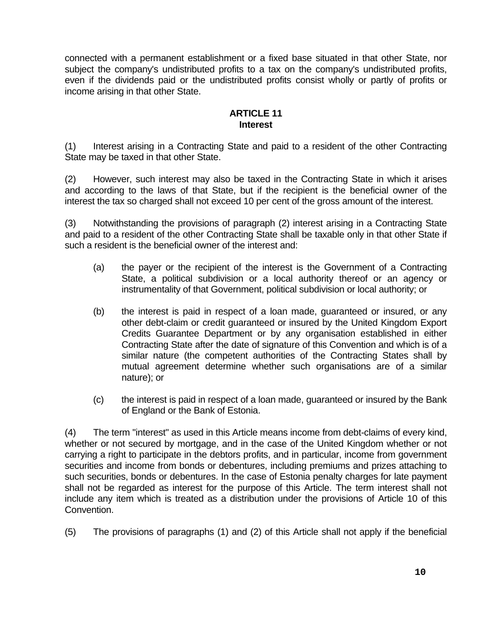connected with a permanent establishment or a fixed base situated in that other State, nor subject the company's undistributed profits to a tax on the company's undistributed profits, even if the dividends paid or the undistributed profits consist wholly or partly of profits or income arising in that other State.

#### **ARTICLE 11 Interest**

(1) Interest arising in a Contracting State and paid to a resident of the other Contracting State may be taxed in that other State.

(2) However, such interest may also be taxed in the Contracting State in which it arises and according to the laws of that State, but if the recipient is the beneficial owner of the interest the tax so charged shall not exceed 10 per cent of the gross amount of the interest.

(3) Notwithstanding the provisions of paragraph (2) interest arising in a Contracting State and paid to a resident of the other Contracting State shall be taxable only in that other State if such a resident is the beneficial owner of the interest and:

- (a) the payer or the recipient of the interest is the Government of a Contracting State, a political subdivision or a local authority thereof or an agency or instrumentality of that Government, political subdivision or local authority; or
- (b) the interest is paid in respect of a loan made, guaranteed or insured, or any other debt-claim or credit guaranteed or insured by the United Kingdom Export Credits Guarantee Department or by any organisation established in either Contracting State after the date of signature of this Convention and which is of a similar nature (the competent authorities of the Contracting States shall by mutual agreement determine whether such organisations are of a similar nature); or
- (c) the interest is paid in respect of a loan made, guaranteed or insured by the Bank of England or the Bank of Estonia.

(4) The term "interest" as used in this Article means income from debt-claims of every kind, whether or not secured by mortgage, and in the case of the United Kingdom whether or not carrying a right to participate in the debtors profits, and in particular, income from government securities and income from bonds or debentures, including premiums and prizes attaching to such securities, bonds or debentures. In the case of Estonia penalty charges for late payment shall not be regarded as interest for the purpose of this Article. The term interest shall not include any item which is treated as a distribution under the provisions of Article 10 of this Convention.

(5) The provisions of paragraphs (1) and (2) of this Article shall not apply if the beneficial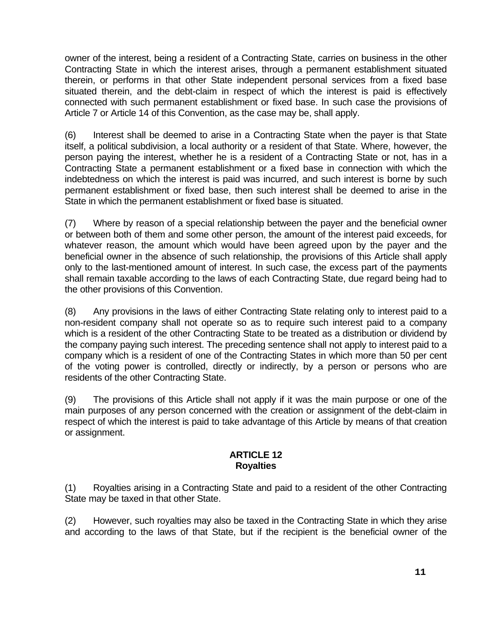owner of the interest, being a resident of a Contracting State, carries on business in the other Contracting State in which the interest arises, through a permanent establishment situated therein, or performs in that other State independent personal services from a fixed base situated therein, and the debt-claim in respect of which the interest is paid is effectively connected with such permanent establishment or fixed base. In such case the provisions of Article 7 or Article 14 of this Convention, as the case may be, shall apply.

(6) Interest shall be deemed to arise in a Contracting State when the payer is that State itself, a political subdivision, a local authority or a resident of that State. Where, however, the person paying the interest, whether he is a resident of a Contracting State or not, has in a Contracting State a permanent establishment or a fixed base in connection with which the indebtedness on which the interest is paid was incurred, and such interest is borne by such permanent establishment or fixed base, then such interest shall be deemed to arise in the State in which the permanent establishment or fixed base is situated.

(7) Where by reason of a special relationship between the payer and the beneficial owner or between both of them and some other person, the amount of the interest paid exceeds, for whatever reason, the amount which would have been agreed upon by the payer and the beneficial owner in the absence of such relationship, the provisions of this Article shall apply only to the last-mentioned amount of interest. In such case, the excess part of the payments shall remain taxable according to the laws of each Contracting State, due regard being had to the other provisions of this Convention.

(8) Any provisions in the laws of either Contracting State relating only to interest paid to a non-resident company shall not operate so as to require such interest paid to a company which is a resident of the other Contracting State to be treated as a distribution or dividend by the company paying such interest. The preceding sentence shall not apply to interest paid to a company which is a resident of one of the Contracting States in which more than 50 per cent of the voting power is controlled, directly or indirectly, by a person or persons who are residents of the other Contracting State.

(9) The provisions of this Article shall not apply if it was the main purpose or one of the main purposes of any person concerned with the creation or assignment of the debt-claim in respect of which the interest is paid to take advantage of this Article by means of that creation or assignment.

### **ARTICLE 12 Royalties**

(1) Royalties arising in a Contracting State and paid to a resident of the other Contracting State may be taxed in that other State.

(2) However, such royalties may also be taxed in the Contracting State in which they arise and according to the laws of that State, but if the recipient is the beneficial owner of the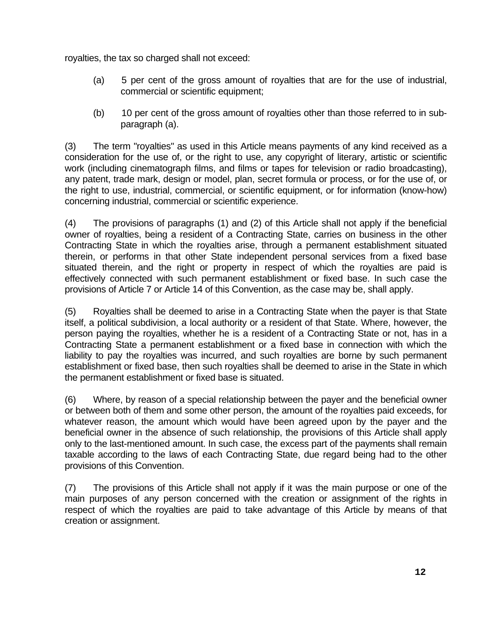royalties, the tax so charged shall not exceed:

- (a) 5 per cent of the gross amount of royalties that are for the use of industrial, commercial or scientific equipment;
- (b) 10 per cent of the gross amount of royalties other than those referred to in subparagraph (a).

(3) The term "royalties" as used in this Article means payments of any kind received as a consideration for the use of, or the right to use, any copyright of literary, artistic or scientific work (including cinematograph films, and films or tapes for television or radio broadcasting), any patent, trade mark, design or model, plan, secret formula or process, or for the use of, or the right to use, industrial, commercial, or scientific equipment, or for information (know-how) concerning industrial, commercial or scientific experience.

(4) The provisions of paragraphs (1) and (2) of this Article shall not apply if the beneficial owner of royalties, being a resident of a Contracting State, carries on business in the other Contracting State in which the royalties arise, through a permanent establishment situated therein, or performs in that other State independent personal services from a fixed base situated therein, and the right or property in respect of which the royalties are paid is effectively connected with such permanent establishment or fixed base. In such case the provisions of Article 7 or Article 14 of this Convention, as the case may be, shall apply.

(5) Royalties shall be deemed to arise in a Contracting State when the payer is that State itself, a political subdivision, a local authority or a resident of that State. Where, however, the person paying the royalties, whether he is a resident of a Contracting State or not, has in a Contracting State a permanent establishment or a fixed base in connection with which the liability to pay the royalties was incurred, and such royalties are borne by such permanent establishment or fixed base, then such royalties shall be deemed to arise in the State in which the permanent establishment or fixed base is situated.

(6) Where, by reason of a special relationship between the payer and the beneficial owner or between both of them and some other person, the amount of the royalties paid exceeds, for whatever reason, the amount which would have been agreed upon by the payer and the beneficial owner in the absence of such relationship, the provisions of this Article shall apply only to the last-mentioned amount. In such case, the excess part of the payments shall remain taxable according to the laws of each Contracting State, due regard being had to the other provisions of this Convention.

(7) The provisions of this Article shall not apply if it was the main purpose or one of the main purposes of any person concerned with the creation or assignment of the rights in respect of which the royalties are paid to take advantage of this Article by means of that creation or assignment.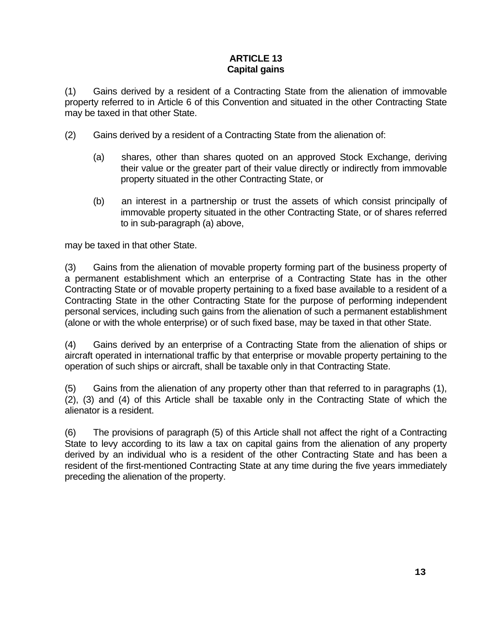# **ARTICLE 13 Capital gains**

(1) Gains derived by a resident of a Contracting State from the alienation of immovable property referred to in Article 6 of this Convention and situated in the other Contracting State may be taxed in that other State.

- (2) Gains derived by a resident of a Contracting State from the alienation of:
	- (a) shares, other than shares quoted on an approved Stock Exchange, deriving their value or the greater part of their value directly or indirectly from immovable property situated in the other Contracting State, or
	- (b) an interest in a partnership or trust the assets of which consist principally of immovable property situated in the other Contracting State, or of shares referred to in sub-paragraph (a) above,

may be taxed in that other State.

(3) Gains from the alienation of movable property forming part of the business property of a permanent establishment which an enterprise of a Contracting State has in the other Contracting State or of movable property pertaining to a fixed base available to a resident of a Contracting State in the other Contracting State for the purpose of performing independent personal services, including such gains from the alienation of such a permanent establishment (alone or with the whole enterprise) or of such fixed base, may be taxed in that other State.

(4) Gains derived by an enterprise of a Contracting State from the alienation of ships or aircraft operated in international traffic by that enterprise or movable property pertaining to the operation of such ships or aircraft, shall be taxable only in that Contracting State.

(5) Gains from the alienation of any property other than that referred to in paragraphs (1), (2), (3) and (4) of this Article shall be taxable only in the Contracting State of which the alienator is a resident.

(6) The provisions of paragraph (5) of this Article shall not affect the right of a Contracting State to levy according to its law a tax on capital gains from the alienation of any property derived by an individual who is a resident of the other Contracting State and has been a resident of the first-mentioned Contracting State at any time during the five years immediately preceding the alienation of the property.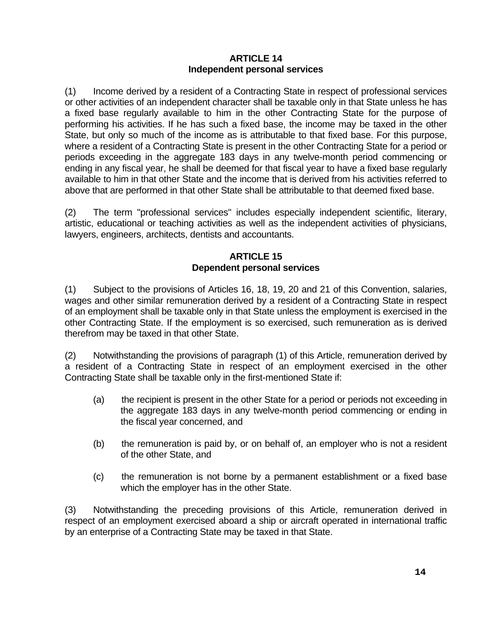### **ARTICLE 14 Independent personal services**

(1) Income derived by a resident of a Contracting State in respect of professional services or other activities of an independent character shall be taxable only in that State unless he has a fixed base regularly available to him in the other Contracting State for the purpose of performing his activities. If he has such a fixed base, the income may be taxed in the other State, but only so much of the income as is attributable to that fixed base. For this purpose, where a resident of a Contracting State is present in the other Contracting State for a period or periods exceeding in the aggregate 183 days in any twelve-month period commencing or ending in any fiscal year, he shall be deemed for that fiscal year to have a fixed base regularly available to him in that other State and the income that is derived from his activities referred to above that are performed in that other State shall be attributable to that deemed fixed base.

(2) The term "professional services" includes especially independent scientific, literary, artistic, educational or teaching activities as well as the independent activities of physicians, lawyers, engineers, architects, dentists and accountants.

# **ARTICLE 15 Dependent personal services**

(1) Subject to the provisions of Articles 16, 18, 19, 20 and 21 of this Convention, salaries, wages and other similar remuneration derived by a resident of a Contracting State in respect of an employment shall be taxable only in that State unless the employment is exercised in the other Contracting State. If the employment is so exercised, such remuneration as is derived therefrom may be taxed in that other State.

(2) Notwithstanding the provisions of paragraph (1) of this Article, remuneration derived by a resident of a Contracting State in respect of an employment exercised in the other Contracting State shall be taxable only in the first-mentioned State if:

- (a) the recipient is present in the other State for a period or periods not exceeding in the aggregate 183 days in any twelve-month period commencing or ending in the fiscal year concerned, and
- (b) the remuneration is paid by, or on behalf of, an employer who is not a resident of the other State, and
- (c) the remuneration is not borne by a permanent establishment or a fixed base which the employer has in the other State.

(3) Notwithstanding the preceding provisions of this Article, remuneration derived in respect of an employment exercised aboard a ship or aircraft operated in international traffic by an enterprise of a Contracting State may be taxed in that State.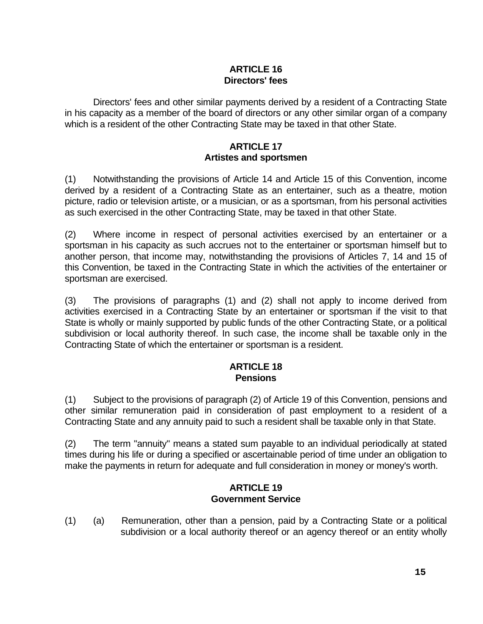# **ARTICLE 16 Directors' fees**

 Directors' fees and other similar payments derived by a resident of a Contracting State in his capacity as a member of the board of directors or any other similar organ of a company which is a resident of the other Contracting State may be taxed in that other State.

#### **ARTICLE 17 Artistes and sportsmen**

(1) Notwithstanding the provisions of Article 14 and Article 15 of this Convention, income derived by a resident of a Contracting State as an entertainer, such as a theatre, motion picture, radio or television artiste, or a musician, or as a sportsman, from his personal activities as such exercised in the other Contracting State, may be taxed in that other State.

(2) Where income in respect of personal activities exercised by an entertainer or a sportsman in his capacity as such accrues not to the entertainer or sportsman himself but to another person, that income may, notwithstanding the provisions of Articles 7, 14 and 15 of this Convention, be taxed in the Contracting State in which the activities of the entertainer or sportsman are exercised.

(3) The provisions of paragraphs (1) and (2) shall not apply to income derived from activities exercised in a Contracting State by an entertainer or sportsman if the visit to that State is wholly or mainly supported by public funds of the other Contracting State, or a political subdivision or local authority thereof. In such case, the income shall be taxable only in the Contracting State of which the entertainer or sportsman is a resident.

### **ARTICLE 18 Pensions**

(1) Subject to the provisions of paragraph (2) of Article 19 of this Convention, pensions and other similar remuneration paid in consideration of past employment to a resident of a Contracting State and any annuity paid to such a resident shall be taxable only in that State.

(2) The term "annuity" means a stated sum payable to an individual periodically at stated times during his life or during a specified or ascertainable period of time under an obligation to make the payments in return for adequate and full consideration in money or money's worth.

#### **ARTICLE 19 Government Service**

(1) (a) Remuneration, other than a pension, paid by a Contracting State or a political subdivision or a local authority thereof or an agency thereof or an entity wholly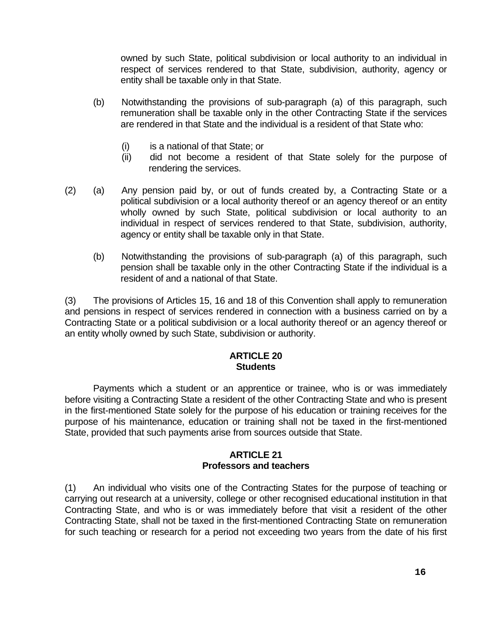owned by such State, political subdivision or local authority to an individual in respect of services rendered to that State, subdivision, authority, agency or entity shall be taxable only in that State.

- (b) Notwithstanding the provisions of sub-paragraph (a) of this paragraph, such remuneration shall be taxable only in the other Contracting State if the services are rendered in that State and the individual is a resident of that State who:
	- (i) is a national of that State; or
	- (ii) did not become a resident of that State solely for the purpose of rendering the services.
- (2) (a) Any pension paid by, or out of funds created by, a Contracting State or a political subdivision or a local authority thereof or an agency thereof or an entity wholly owned by such State, political subdivision or local authority to an individual in respect of services rendered to that State, subdivision, authority, agency or entity shall be taxable only in that State.
	- (b) Notwithstanding the provisions of sub-paragraph (a) of this paragraph, such pension shall be taxable only in the other Contracting State if the individual is a resident of and a national of that State.

(3) The provisions of Articles 15, 16 and 18 of this Convention shall apply to remuneration and pensions in respect of services rendered in connection with a business carried on by a Contracting State or a political subdivision or a local authority thereof or an agency thereof or an entity wholly owned by such State, subdivision or authority.

#### **ARTICLE 20 Students**

 Payments which a student or an apprentice or trainee, who is or was immediately before visiting a Contracting State a resident of the other Contracting State and who is present in the first-mentioned State solely for the purpose of his education or training receives for the purpose of his maintenance, education or training shall not be taxed in the first-mentioned State, provided that such payments arise from sources outside that State.

### **ARTICLE 21 Professors and teachers**

(1) An individual who visits one of the Contracting States for the purpose of teaching or carrying out research at a university, college or other recognised educational institution in that Contracting State, and who is or was immediately before that visit a resident of the other Contracting State, shall not be taxed in the first-mentioned Contracting State on remuneration for such teaching or research for a period not exceeding two years from the date of his first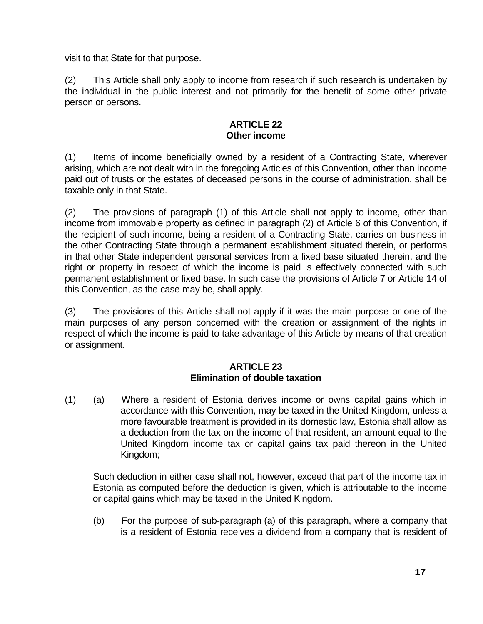visit to that State for that purpose.

(2) This Article shall only apply to income from research if such research is undertaken by the individual in the public interest and not primarily for the benefit of some other private person or persons.

# **ARTICLE 22 Other income**

(1) Items of income beneficially owned by a resident of a Contracting State, wherever arising, which are not dealt with in the foregoing Articles of this Convention, other than income paid out of trusts or the estates of deceased persons in the course of administration, shall be taxable only in that State.

(2) The provisions of paragraph (1) of this Article shall not apply to income, other than income from immovable property as defined in paragraph (2) of Article 6 of this Convention, if the recipient of such income, being a resident of a Contracting State, carries on business in the other Contracting State through a permanent establishment situated therein, or performs in that other State independent personal services from a fixed base situated therein, and the right or property in respect of which the income is paid is effectively connected with such permanent establishment or fixed base. In such case the provisions of Article 7 or Article 14 of this Convention, as the case may be, shall apply.

(3) The provisions of this Article shall not apply if it was the main purpose or one of the main purposes of any person concerned with the creation or assignment of the rights in respect of which the income is paid to take advantage of this Article by means of that creation or assignment.

#### **ARTICLE 23 Elimination of double taxation**

(1) (a) Where a resident of Estonia derives income or owns capital gains which in accordance with this Convention, may be taxed in the United Kingdom, unless a more favourable treatment is provided in its domestic law, Estonia shall allow as a deduction from the tax on the income of that resident, an amount equal to the United Kingdom income tax or capital gains tax paid thereon in the United Kingdom;

 Such deduction in either case shall not, however, exceed that part of the income tax in Estonia as computed before the deduction is given, which is attributable to the income or capital gains which may be taxed in the United Kingdom.

 (b) For the purpose of sub-paragraph (a) of this paragraph, where a company that is a resident of Estonia receives a dividend from a company that is resident of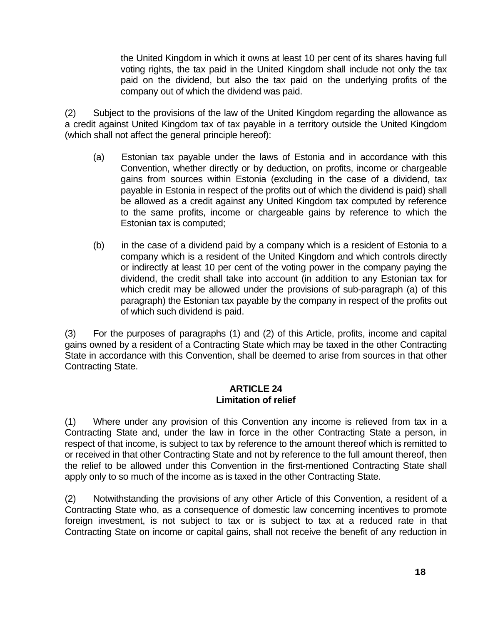the United Kingdom in which it owns at least 10 per cent of its shares having full voting rights, the tax paid in the United Kingdom shall include not only the tax paid on the dividend, but also the tax paid on the underlying profits of the company out of which the dividend was paid.

(2) Subject to the provisions of the law of the United Kingdom regarding the allowance as a credit against United Kingdom tax of tax payable in a territory outside the United Kingdom (which shall not affect the general principle hereof):

- (a) Estonian tax payable under the laws of Estonia and in accordance with this Convention, whether directly or by deduction, on profits, income or chargeable gains from sources within Estonia (excluding in the case of a dividend, tax payable in Estonia in respect of the profits out of which the dividend is paid) shall be allowed as a credit against any United Kingdom tax computed by reference to the same profits, income or chargeable gains by reference to which the Estonian tax is computed;
- (b) in the case of a dividend paid by a company which is a resident of Estonia to a company which is a resident of the United Kingdom and which controls directly or indirectly at least 10 per cent of the voting power in the company paying the dividend, the credit shall take into account (in addition to any Estonian tax for which credit may be allowed under the provisions of sub-paragraph (a) of this paragraph) the Estonian tax payable by the company in respect of the profits out of which such dividend is paid.

(3) For the purposes of paragraphs (1) and (2) of this Article, profits, income and capital gains owned by a resident of a Contracting State which may be taxed in the other Contracting State in accordance with this Convention, shall be deemed to arise from sources in that other Contracting State.

### **ARTICLE 24 Limitation of relief**

(1) Where under any provision of this Convention any income is relieved from tax in a Contracting State and, under the law in force in the other Contracting State a person, in respect of that income, is subject to tax by reference to the amount thereof which is remitted to or received in that other Contracting State and not by reference to the full amount thereof, then the relief to be allowed under this Convention in the first-mentioned Contracting State shall apply only to so much of the income as is taxed in the other Contracting State.

(2) Notwithstanding the provisions of any other Article of this Convention, a resident of a Contracting State who, as a consequence of domestic law concerning incentives to promote foreign investment, is not subject to tax or is subject to tax at a reduced rate in that Contracting State on income or capital gains, shall not receive the benefit of any reduction in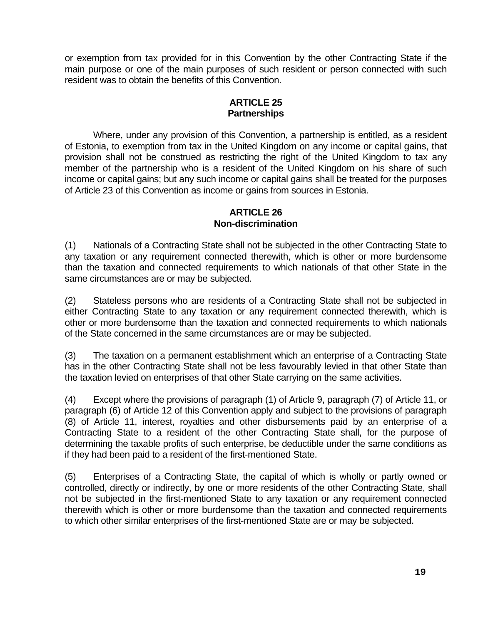or exemption from tax provided for in this Convention by the other Contracting State if the main purpose or one of the main purposes of such resident or person connected with such resident was to obtain the benefits of this Convention.

### **ARTICLE 25 Partnerships**

 Where, under any provision of this Convention, a partnership is entitled, as a resident of Estonia, to exemption from tax in the United Kingdom on any income or capital gains, that provision shall not be construed as restricting the right of the United Kingdom to tax any member of the partnership who is a resident of the United Kingdom on his share of such income or capital gains; but any such income or capital gains shall be treated for the purposes of Article 23 of this Convention as income or gains from sources in Estonia.

# **ARTICLE 26 Non-discrimination**

(1) Nationals of a Contracting State shall not be subjected in the other Contracting State to any taxation or any requirement connected therewith, which is other or more burdensome than the taxation and connected requirements to which nationals of that other State in the same circumstances are or may be subjected.

(2) Stateless persons who are residents of a Contracting State shall not be subjected in either Contracting State to any taxation or any requirement connected therewith, which is other or more burdensome than the taxation and connected requirements to which nationals of the State concerned in the same circumstances are or may be subjected.

(3) The taxation on a permanent establishment which an enterprise of a Contracting State has in the other Contracting State shall not be less favourably levied in that other State than the taxation levied on enterprises of that other State carrying on the same activities.

(4) Except where the provisions of paragraph (1) of Article 9, paragraph (7) of Article 11, or paragraph (6) of Article 12 of this Convention apply and subject to the provisions of paragraph (8) of Article 11, interest, royalties and other disbursements paid by an enterprise of a Contracting State to a resident of the other Contracting State shall, for the purpose of determining the taxable profits of such enterprise, be deductible under the same conditions as if they had been paid to a resident of the first-mentioned State.

(5) Enterprises of a Contracting State, the capital of which is wholly or partly owned or controlled, directly or indirectly, by one or more residents of the other Contracting State, shall not be subjected in the first-mentioned State to any taxation or any requirement connected therewith which is other or more burdensome than the taxation and connected requirements to which other similar enterprises of the first-mentioned State are or may be subjected.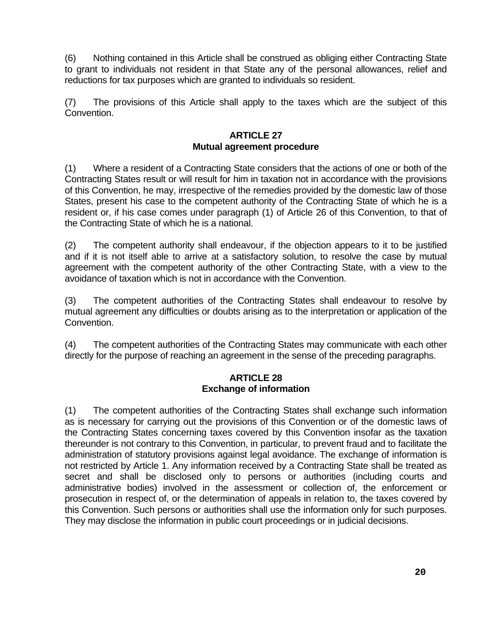(6) Nothing contained in this Article shall be construed as obliging either Contracting State to grant to individuals not resident in that State any of the personal allowances, relief and reductions for tax purposes which are granted to individuals so resident.

(7) The provisions of this Article shall apply to the taxes which are the subject of this Convention.

### **ARTICLE 27 Mutual agreement procedure**

(1) Where a resident of a Contracting State considers that the actions of one or both of the Contracting States result or will result for him in taxation not in accordance with the provisions of this Convention, he may, irrespective of the remedies provided by the domestic law of those States, present his case to the competent authority of the Contracting State of which he is a resident or, if his case comes under paragraph (1) of Article 26 of this Convention, to that of the Contracting State of which he is a national.

(2) The competent authority shall endeavour, if the objection appears to it to be justified and if it is not itself able to arrive at a satisfactory solution, to resolve the case by mutual agreement with the competent authority of the other Contracting State, with a view to the avoidance of taxation which is not in accordance with the Convention.

(3) The competent authorities of the Contracting States shall endeavour to resolve by mutual agreement any difficulties or doubts arising as to the interpretation or application of the Convention.

(4) The competent authorities of the Contracting States may communicate with each other directly for the purpose of reaching an agreement in the sense of the preceding paragraphs.

# **ARTICLE 28 Exchange of information**

(1) The competent authorities of the Contracting States shall exchange such information as is necessary for carrying out the provisions of this Convention or of the domestic laws of the Contracting States concerning taxes covered by this Convention insofar as the taxation thereunder is not contrary to this Convention, in particular, to prevent fraud and to facilitate the administration of statutory provisions against legal avoidance. The exchange of information is not restricted by Article 1. Any information received by a Contracting State shall be treated as secret and shall be disclosed only to persons or authorities (including courts and administrative bodies) involved in the assessment or collection of, the enforcement or prosecution in respect of, or the determination of appeals in relation to, the taxes covered by this Convention. Such persons or authorities shall use the information only for such purposes. They may disclose the information in public court proceedings or in judicial decisions.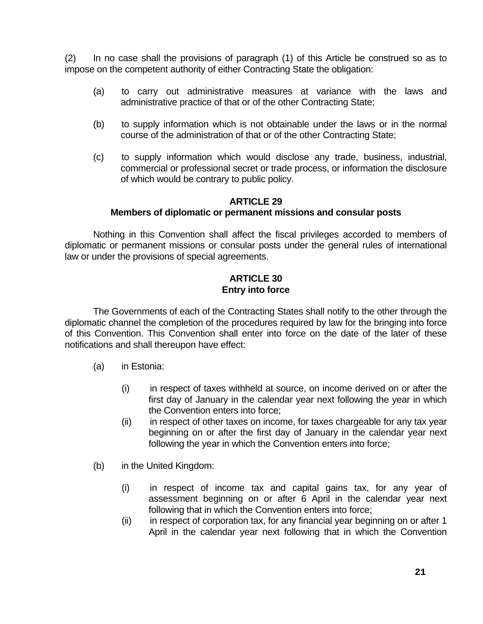(2) In no case shall the provisions of paragraph (1) of this Article be construed so as to impose on the competent authority of either Contracting State the obligation:

- (a) to carry out administrative measures at variance with the laws and administrative practice of that or of the other Contracting State;
- (b) to supply information which is not obtainable under the laws or in the normal course of the administration of that or of the other Contracting State;
- (c) to supply information which would disclose any trade, business, industrial, commercial or professional secret or trade process, or information the disclosure of which would be contrary to public policy.

#### **ARTICLE 29**

#### **Members of diplomatic or permanent missions and consular posts**

 Nothing in this Convention shall affect the fiscal privileges accorded to members of diplomatic or permanent missions or consular posts under the general rules of international law or under the provisions of special agreements.

# **ARTICLE 30 Entry into force**

 The Governments of each of the Contracting States shall notify to the other through the diplomatic channel the completion of the procedures required by law for the bringing into force of this Convention. This Convention shall enter into force on the date of the later of these notifications and shall thereupon have effect:

- (a) in Estonia:
	- (i) in respect of taxes withheld at source, on income derived on or after the first day of January in the calendar year next following the year in which the Convention enters into force;
	- (ii) in respect of other taxes on income, for taxes chargeable for any tax year beginning on or after the first day of January in the calendar year next following the year in which the Convention enters into force;
- (b) in the United Kingdom:
	- (i) in respect of income tax and capital gains tax, for any year of assessment beginning on or after 6 April in the calendar year next following that in which the Convention enters into force;
	- (ii) in respect of corporation tax, for any financial year beginning on or after 1 April in the calendar year next following that in which the Convention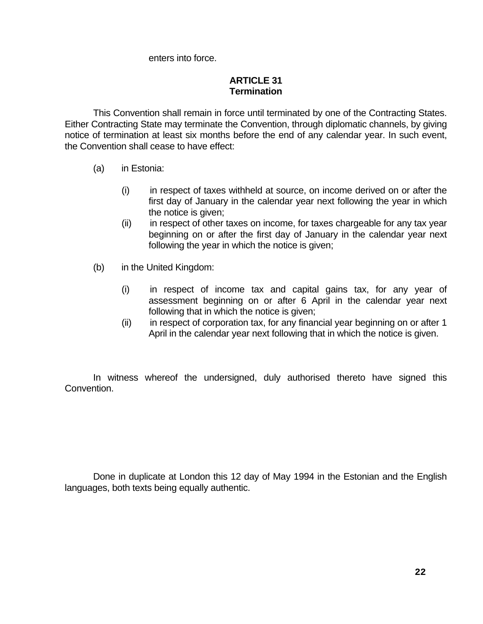enters into force.

# **ARTICLE 31 Termination**

 This Convention shall remain in force until terminated by one of the Contracting States. Either Contracting State may terminate the Convention, through diplomatic channels, by giving notice of termination at least six months before the end of any calendar year. In such event, the Convention shall cease to have effect:

- (a) in Estonia:
	- (i) in respect of taxes withheld at source, on income derived on or after the first day of January in the calendar year next following the year in which the notice is given;
	- (ii) in respect of other taxes on income, for taxes chargeable for any tax year beginning on or after the first day of January in the calendar year next following the year in which the notice is given;
- (b) in the United Kingdom:
	- (i) in respect of income tax and capital gains tax, for any year of assessment beginning on or after 6 April in the calendar year next following that in which the notice is given;
	- (ii) in respect of corporation tax, for any financial year beginning on or after 1 April in the calendar year next following that in which the notice is given.

 In witness whereof the undersigned, duly authorised thereto have signed this Convention.

 Done in duplicate at London this 12 day of May 1994 in the Estonian and the English languages, both texts being equally authentic.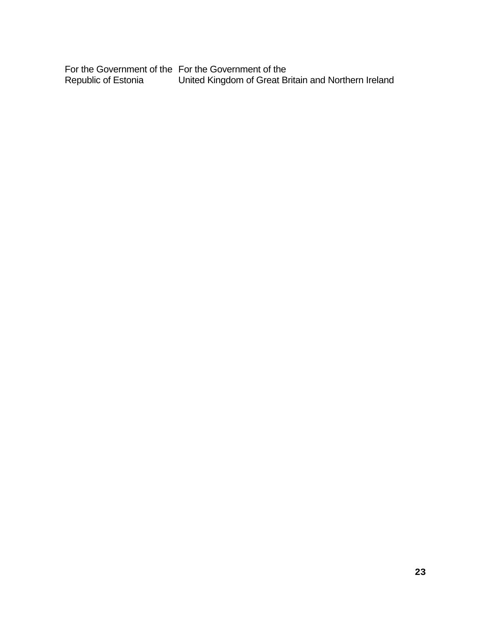For the Government of the For the Government of the Republic of Estonia United Kingdom of Great Britain and Northern Ireland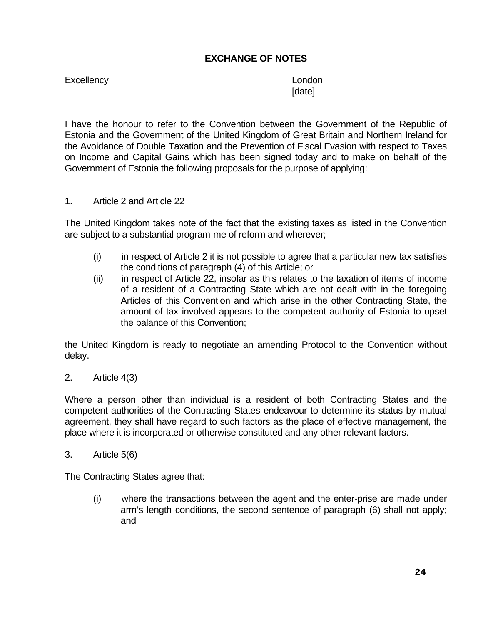# **EXCHANGE OF NOTES**

Excellency **London** 

[date]

I have the honour to refer to the Convention between the Government of the Republic of Estonia and the Government of the United Kingdom of Great Britain and Northern Ireland for the Avoidance of Double Taxation and the Prevention of Fiscal Evasion with respect to Taxes on Income and Capital Gains which has been signed today and to make on behalf of the Government of Estonia the following proposals for the purpose of applying:

1. Article 2 and Article 22

The United Kingdom takes note of the fact that the existing taxes as listed in the Convention are subject to a substantial program-me of reform and wherever;

- $(i)$  in respect of Article 2 it is not possible to agree that a particular new tax satisfies the conditions of paragraph (4) of this Article; or
- (ii) in respect of Article 22, insofar as this relates to the taxation of items of income of a resident of a Contracting State which are not dealt with in the foregoing Articles of this Convention and which arise in the other Contracting State, the amount of tax involved appears to the competent authority of Estonia to upset the balance of this Convention;

the United Kingdom is ready to negotiate an amending Protocol to the Convention without delay.

2. Article 4(3)

Where a person other than individual is a resident of both Contracting States and the competent authorities of the Contracting States endeavour to determine its status by mutual agreement, they shall have regard to such factors as the place of effective management, the place where it is incorporated or otherwise constituted and any other relevant factors.

3. Article 5(6)

The Contracting States agree that:

 (i) where the transactions between the agent and the enter-prise are made under arm's length conditions, the second sentence of paragraph (6) shall not apply; and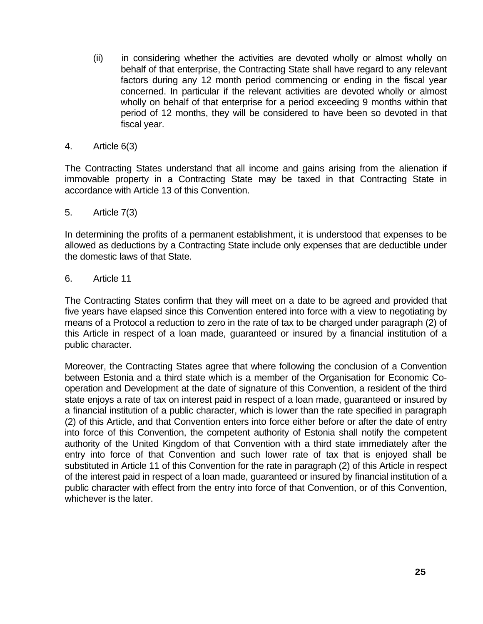- (ii) in considering whether the activities are devoted wholly or almost wholly on behalf of that enterprise, the Contracting State shall have regard to any relevant factors during any 12 month period commencing or ending in the fiscal year concerned. In particular if the relevant activities are devoted wholly or almost wholly on behalf of that enterprise for a period exceeding 9 months within that period of 12 months, they will be considered to have been so devoted in that fiscal year.
- 4. Article 6(3)

The Contracting States understand that all income and gains arising from the alienation if immovable property in a Contracting State may be taxed in that Contracting State in accordance with Article 13 of this Convention.

5. Article 7(3)

In determining the profits of a permanent establishment, it is understood that expenses to be allowed as deductions by a Contracting State include only expenses that are deductible under the domestic laws of that State.

6. Article 11

The Contracting States confirm that they will meet on a date to be agreed and provided that five years have elapsed since this Convention entered into force with a view to negotiating by means of a Protocol a reduction to zero in the rate of tax to be charged under paragraph (2) of this Article in respect of a loan made, guaranteed or insured by a financial institution of a public character.

Moreover, the Contracting States agree that where following the conclusion of a Convention between Estonia and a third state which is a member of the Organisation for Economic Cooperation and Development at the date of signature of this Convention, a resident of the third state enjoys a rate of tax on interest paid in respect of a loan made, guaranteed or insured by a financial institution of a public character, which is lower than the rate specified in paragraph (2) of this Article, and that Convention enters into force either before or after the date of entry into force of this Convention, the competent authority of Estonia shall notify the competent authority of the United Kingdom of that Convention with a third state immediately after the entry into force of that Convention and such lower rate of tax that is enjoyed shall be substituted in Article 11 of this Convention for the rate in paragraph (2) of this Article in respect of the interest paid in respect of a loan made, guaranteed or insured by financial institution of a public character with effect from the entry into force of that Convention, or of this Convention, whichever is the later.